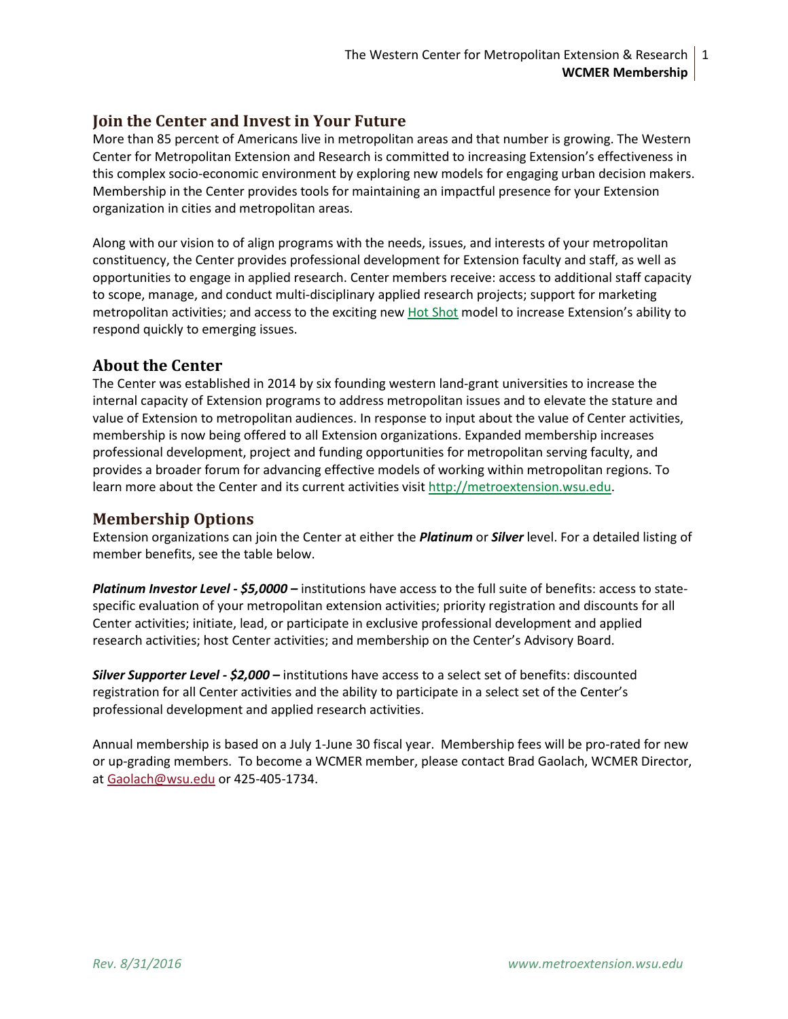## **Join the Center and Invest in Your Future**

More than 85 percent of Americans live in metropolitan areas and that number is growing. The Western Center for Metropolitan Extension and Research is committed to increasing Extension's effectiveness in this complex socio-economic environment by exploring new models for engaging urban decision makers. Membership in the Center provides tools for maintaining an impactful presence for your Extension organization in cities and metropolitan areas.

Along with our vision to of align programs with the needs, issues, and interests of your metropolitan constituency, the Center provides professional development for Extension faculty and staff, as well as opportunities to engage in applied research. Center members receive: access to additional staff capacity to scope, manage, and conduct multi-disciplinary applied research projects; support for marketing metropolitan activities; and access to the exciting new [Hot Shot](http://metroextension.wsu.edu/appliedresearch/hot-shot-model/) model to increase Extension's ability to respond quickly to emerging issues.

## **About the Center**

The Center was established in 2014 by six founding western land-grant universities to increase the internal capacity of Extension programs to address metropolitan issues and to elevate the stature and value of Extension to metropolitan audiences. In response to input about the value of Center activities, membership is now being offered to all Extension organizations. Expanded membership increases professional development, project and funding opportunities for metropolitan serving faculty, and provides a broader forum for advancing effective models of working within metropolitan regions. To learn more about the Center and its current activities visit [http://metroextension.wsu.edu.](http://metroextension.wsu.edu/)

## **Membership Options**

Extension organizations can join the Center at either the *Platinum* or *Silver* level. For a detailed listing of member benefits, see the table below.

*Platinum Investor Level - \$5,0000 –* institutions have access to the full suite of benefits: access to statespecific evaluation of your metropolitan extension activities; priority registration and discounts for all Center activities; initiate, lead, or participate in exclusive professional development and applied research activities; host Center activities; and membership on the Center's Advisory Board.

*Silver Supporter Level - \$2,000 –* institutions have access to a select set of benefits: discounted registration for all Center activities and the ability to participate in a select set of the Center's professional development and applied research activities.

Annual membership is based on a July 1-June 30 fiscal year. Membership fees will be pro-rated for new or up-grading members. To become a WCMER member, please contact Brad Gaolach, WCMER Director, at [Gaolach@wsu.edu](mailto:Gaolach@wsu.edu) or 425-405-1734.